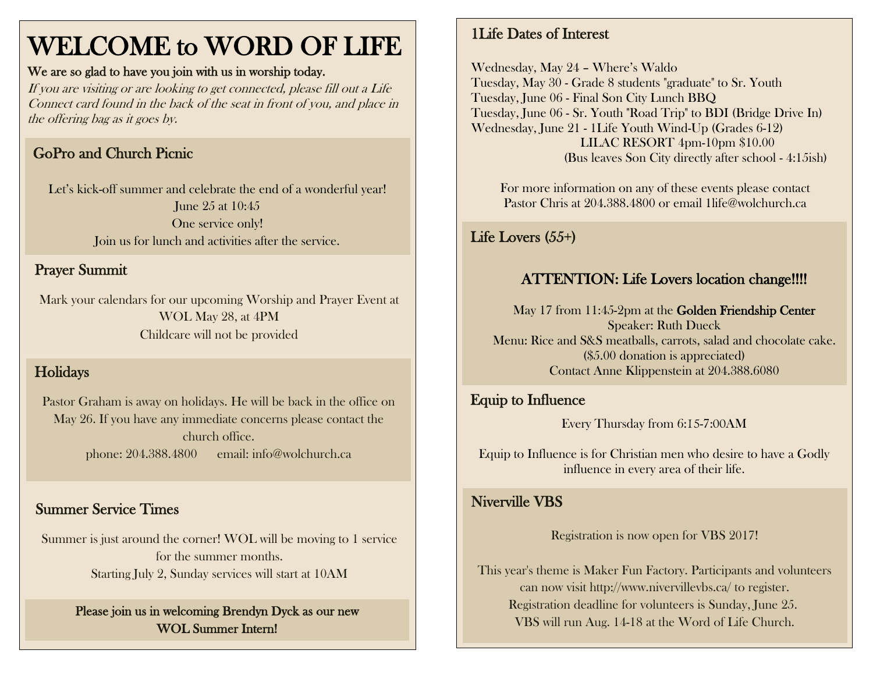# WELCOME to WORD OF LIFE

#### We are so glad to have you join with us in worship today.

If you are visiting or are looking to get connected, please fill out a Life Connect card found in the back of the seat in front of you, and place in the offering bag as it goes by.

# GoPro and Church Picnic

Let's kick-off summer and celebrate the end of a wonderful year! June 25 at 10:45 One service only! Join us for lunch and activities after the service.

#### Don't forget to bring your lawn chairs and blankets! Prayer Summit

Mark your calendars for our upcoming Worship and Prayer Event at WOL May 28, at 4PM Childcare will not be provided

#### Holidays

Pastor Graham is away on holidays. He will be back in the office on May 26. If you have any immediate concerns please contact the church office. phone: 204.388.4800 email: info@wolchurch.ca

#### Summer Service Times

Summer is just around the corner! WOL will be moving to 1 service for the summer months. Starting July 2, Sunday services will start at 10AM

#### Please join us in welcoming Brendyn Dyck as our new WOL Summer Intern!

#### 1Life Dates of Interest

Wednesday, May 24 – Where's Waldo Tuesday, May 30 - Grade 8 students "graduate" to Sr. Youth Tuesday, June 06 - Final Son City Lunch BBQ Tuesday, June 06 - Sr. Youth "Road Trip" to BDI (Bridge Drive In) Wednesday, June 21 - 1Life Youth Wind-Up (Grades 6-12) LILAC RESORT 4pm-10pm \$10.00 (Bus leaves Son City directly after school - 4:15ish)

For more information on any of these events please contact Pastor Chris at 204.388.4800 or email 1life@wolchurch.ca

# Life Lovers (55+)

### ATTENTION: Life Lovers location change!!!!

May 17 from 11:45-2pm at the Golden Friendship Center Speaker: Ruth Dueck Menu: Rice and S&S meatballs, carrots, salad and chocolate cake. (\$5.00 donation is appreciated) Contact Anne Klippenstein at 204.388.6080

#### Equip to Influence

Every Thursday from 6:15-7:00AM

Equip to Influence is for Christian men who desire to have a Godly influence in every area of their life.

#### Niverville VBS

Registration is now open for VBS 2017!

This year's theme is Maker Fun Factory. Participants and volunteers can now visit<http://www.nivervillevbs.ca/> to register. Registration deadline for volunteers is Sunday, June 25. VBS will run Aug. 14-18 at the Word of Life Church.